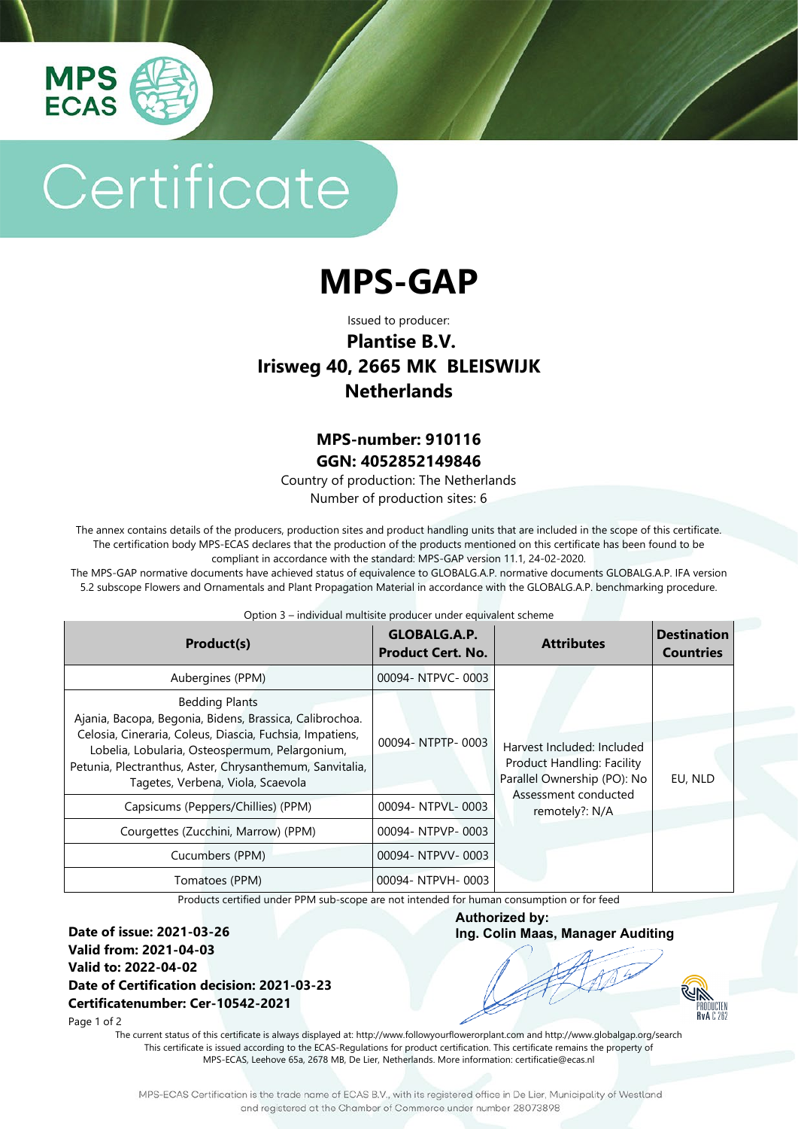

# Certificate

## **MPS-GAP**

Issued to producer:

### **Plantise B.V. Irisweg 40, 2665 MK BLEISWIJK Netherlands**

#### **MPS-number: 910116 GGN: 4052852149846**

Country of production: The Netherlands Number of production sites: 6

The annex contains details of the producers, production sites and product handling units that are included in the scope of this certificate. The certification body MPS-ECAS declares that the production of the products mentioned on this certificate has been found to be compliant in accordance with the standard: MPS-GAP version 11.1, 24-02-2020.

The MPS-GAP normative documents have achieved status of equivalence to GLOBALG.A.P. normative documents GLOBALG.A.P. IFA version 5.2 subscope Flowers and Ornamentals and Plant Propagation Material in accordance with the GLOBALG.A.P. benchmarking procedure.

#### Option 3 – individual multisite producer under equivalent scheme

| Product(s)                                                                                                                                                                                                                                                                                      | GLOBALG.A.P.<br><b>Product Cert. No.</b> | <b>Attributes</b>                                                                                                                 | <b>Destination</b><br><b>Countries</b> |
|-------------------------------------------------------------------------------------------------------------------------------------------------------------------------------------------------------------------------------------------------------------------------------------------------|------------------------------------------|-----------------------------------------------------------------------------------------------------------------------------------|----------------------------------------|
| Aubergines (PPM)                                                                                                                                                                                                                                                                                | 00094-NTPVC-0003                         |                                                                                                                                   |                                        |
| <b>Bedding Plants</b><br>Ajania, Bacopa, Begonia, Bidens, Brassica, Calibrochoa.<br>Celosia, Cineraria, Coleus, Diascia, Fuchsia, Impatiens,<br>Lobelia, Lobularia, Osteospermum, Pelargonium,<br>Petunia, Plectranthus, Aster, Chrysanthemum, Sanvitalia,<br>Tagetes, Verbena, Viola, Scaevola | 00094-NTPTP-0003                         | Harvest Included: Included<br>Product Handling: Facility<br>Parallel Ownership (PO): No<br>Assessment conducted<br>remotely?: N/A | EU, NLD                                |
| Capsicums (Peppers/Chillies) (PPM)                                                                                                                                                                                                                                                              | 00094- NTPVL-0003                        |                                                                                                                                   |                                        |
| Courgettes (Zucchini, Marrow) (PPM)                                                                                                                                                                                                                                                             | 00094-NTPVP-0003                         |                                                                                                                                   |                                        |
| Cucumbers (PPM)                                                                                                                                                                                                                                                                                 | 00094-NTPVV-0003                         |                                                                                                                                   |                                        |
| Tomatoes (PPM)                                                                                                                                                                                                                                                                                  | 00094- NTPVH-0003                        |                                                                                                                                   |                                        |

Products certified under PPM sub-scope are not intended for human consumption or for feed

**Date of issue: 2021-03-26 Valid from: 2021-04-03 Valid to: 2022-04-02 Date of Certification decision: 2021-03-23 Certificatenumber: Cer-10542-2021**

**Authorized by: Ing. Colin Maas, Manager Auditing**

**RUN** PRODUCTEN<br>PRODUCTEN<br>RVA C 262

Page 1 of 2

The current status of this certificate is always displayed at: http://www.followyourflowerorplant.com and<http://www.globalgap.org/search> This certificate is issued according to the ECAS-Regulations for product certification. This certificate remains the property of MPS-ECAS, Leehove 65a, 2678 MB, De Lier, Netherlands. More information[: certificatie@ecas.nl](mailto:certificatie@ecas.nl)